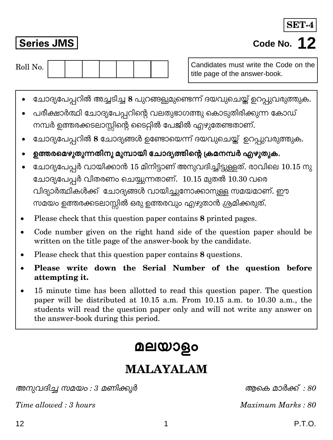# Code No. 12

SET-4

**Series JMS** 

Roll No.

## മലയാളം

### **MALAYALAM**

അനുവദിച്ച സമയം : 3 മണിക്കൂർ

Time allowed: 3 hours

Candidates must write the Code on the title page of the answer-book.

- ചോദ്യപേപ്പറിൽ അച്ചടിച്ച 8 പുറങ്ങളുമുണ്ടെന്ന് ദയവുചെയ്ത് ഉറപ്പുവരുത്തുക.
- പരീക്ഷാർത്ഥി ചോദ്യപേപ്പറിന്റെ വലതുഭാഗത്തു കൊടുതിരിക്കുന്ന കോഡ് നമ്പർ ഉത്തരക്കടലാസ്സിന്റെ ടൈറ്റിൽ പേജിൽ എഴുതേണ്ടതാണ്.
- ചോദ്യപേപ്പറിൽ 8 ചോദ്യങ്ങൾ ഉണ്ടോയെന്ന് ദയവുചെയ്ത് ഉറപ്പുവരുത്തുക.
- ഉത്തരമെഴുതുന്നതിനു മുമ്പായി ചോദ്യത്തിന്റെ ക്രമനമ്പർ എഴുതുക.
- ചോദ്യപേപ്പർ വായിക്കാൻ 15 മിനിട്ടാണ് അനുവദിച്ചിട്ടുള്ളത്. രാവിലെ 10.15 നു ചോദ്യപേപ്പർ വിതരണം ചെയ്യുന്നതാണ്. 10.15 മുതൽ 10.30 വരെ വിദ്യാർത്ഥികൾക്ക് ചോദ്യങ്ങൾ വായിച്ചുനോക്കാനുള്ള സമയമാണ്. ഈ സമയം ഉത്തരക്കടലാസ്റ്റിൽ ഒരു ഉത്തരവും എഴുതാൻ ശ്രമിക്കരുത്.
- Please check that this question paper contains 8 printed pages.
- Code number given on the right hand side of the question paper should be written on the title page of the answer-book by the candidate.
- Please check that this question paper contains 8 questions.
- Please write down the Serial Number of the question before attempting it.
- 15 minute time has been allotted to read this question paper. The question paper will be distributed at 10.15 a.m. From 10.15 a.m. to 10.30 a.m., the students will read the question paper only and will not write any answer on the answer-book during this period.

അകെ മാർക്ക് : 80

Maximum Marks: 80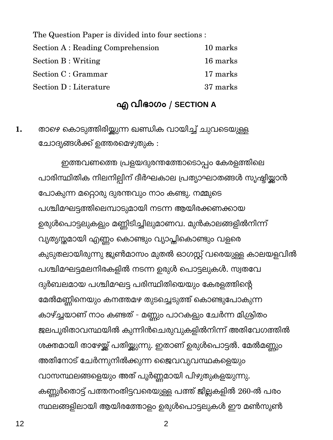The Question Paper is divided into four sections : Section A: Reading Comprehension 10 marks **Section B: Writing** 16 marks Section C : Grammar 17 marks Section D : Literature 37 marks

#### എ വിഭാഗം / SECTION A

താഴെ കൊടുത്തിരിയ്കുന്ന ഖണ്ഡിക വായിച്ച് ചുവടെയുള്ള 1. ചോദ്യങ്ങൾക്ക് ഉത്തരമെഴുതുക :

ഇത്തവണത്തെ പ്രളയദുരന്തത്തോടൊപ്പം കേരളത്തിലെ പാരിസ്ഥിതിക നിലനില്പിന് ദീർഘകാല പ്രത്യാഘാതങ്ങൾ സൃഷ്ടിയ്ക്കാൻ പോകുന്ന മറ്റൊരു ദുരന്തവും നാം കണ്ടു. നമ്മുടെ പശ്ചിമഘട്ടത്തിലെമ്പാടുമായി നടന്ന ആയിരക്കണക്കായ ഉരുൾപൊട്ടലുകളും മണ്ണിടിച്ചിലുമാണവ. മുൻകാലങ്ങളിൽനിന്ന് വ്യത്യസ്തമായി എണ്ണം കൊണ്ടും വ്യാപ്തികൊണ്ടും വളരെ കുടുതലായിരുന്നു ജൂൺമാസം മുതൽ ഓഗസ്റ്റ് വരെയുള്ള കാലയളവിൽ പശ്ചിമഘട്ടമലനിരകളിൽ നടന്ന ഉരുൾ പൊട്ടലുകൾ. സ്വതവേ ദുർബലമായ പശ്ചിമഘട്ട പരിസ്ഥിതിയെയും കേരളത്തിന്റെ മേൽമണ്ണിനെയും കനത്തമഴ തുടച്ചെടുത്ത് കൊണ്ടുപോകുന്ന കാഴ്ച്ചയാണ് നാം കണ്ടത് - മണ്ണും പാറകളും ചേർന്ന മിശ്രിതം ജലപൂരിതാവസ്ഥയിൽ കുന്നിൻചെരുവുകളിൽനിന്ന് അതിവേഗത്തിൽ ശക്തമായി താഴേയ്ക്ക് പതിയ്ക്കുന്നു. ഇതാണ് ഉരുൾപൊട്ടൽ. മേൽമണ്ണും അതിനോട് ചേർന്നുനിൽക്കുന്ന ജൈവവ്യവസ്ഥകളെയും വാസസ്ഥലങ്ങളെയും അത് പൂർണ്ണമായി പിഴുതുകളയുന്നു. കണ്ണുർതൊട്ട് പത്തനംതിട്ടവരെയുള്ള പത്ത് ജില്ലകളിൽ 260-ൽ പരം സ്ഥലങ്ങളിലായി ആയിരത്തോളം ഉരുൾപൊട്ടലുകൾ ഈ മൺസൂൺ

 $12$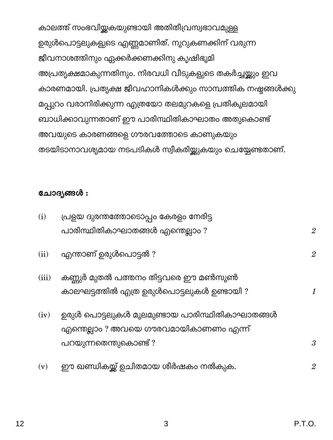കാലത്ത് സംഭവിയ്കകയുണ്ടായി അതിതീവ്രസ്വഭാവമുള്ള ഉരുൾപൊട്ടലുകളുടെ എണ്ണമാണിത്. നൂറുകണക്കിന് വരുന്ന ജീവനാശത്തിനും ഏക്കർക്കണക്കിനു കൃഷിഭൂമി അപ്രത്യക്ഷമാകുന്നതിനും. നിരവധി വീടുകളുടെ തകർച്ചയ്ക്കും ഇവ കാരണമായി. പ്രത്യക്ഷ ജീവഹാനികൾക്കും സാമ്പത്തിക നഷ്ടങ്ങൾക്കു മപ്പുറം വരാനിരിക്കുന്ന എത്രയോ തലമുറകളെ പ്രതികൂലമായി ബാധിക്കാവുന്നതാണ് ഈ പാരിസ്ഥിതികാഘാതം അതുകൊണ്ട് അവയുടെ കാരണങ്ങളെ ഗൗരവത്തോടെ കാണുകയും തടയിടാനാവശ്യമായ നടപടികൾ സ്വീകരിയ്ക്കുകയും ചെയ്യേണ്ടതാണ്.

#### ചോദ്യങ്ങൾ :

| (i)   | പ്രളയ ദുരന്തത്തോടൊപ്പം കേരളം നേരിട്ട          |                      |  |  |
|-------|-----------------------------------------------|----------------------|--|--|
|       | പാരിസ്ഥിതികാഘാതങ്ങൾ എന്തെല്ലാം ?              | $\overline{2}$       |  |  |
| (ii)  | എന്താണ് ഉരുൾപൊട്ടൽ ?                          | $\overline{2}$       |  |  |
| (iii) | കണ്ണുർ മുതൽ പത്തനം തിട്ടവരെ ഈ മൺസൂൺ           |                      |  |  |
|       | കാലഘട്ടത്തിൽ എത്ര ഉരുൾപൊട്ടലുകൾ ഉണ്ടായി ?     | $\mathcal{I}$        |  |  |
| (iv)  | ഉരുൾ പൊട്ടലുകൾ മൂലമുണ്ടായ പാരിസ്ഥിതികാഘാതങ്ങൾ |                      |  |  |
|       | എന്തെല്ലാം ? അവയെ ഗൗരവമായികാണണം എന്ന്         |                      |  |  |
|       | പറയുന്നതെന്തുകൊണ്ട് ?                         | $\boldsymbol{\beta}$ |  |  |
| (v)   | ഈ ഖണ്ഡികയ്ക്ക് ഉചിതമായ ശീർഷകം നൽകുക.          | $\overline{2}$       |  |  |

3

 $12$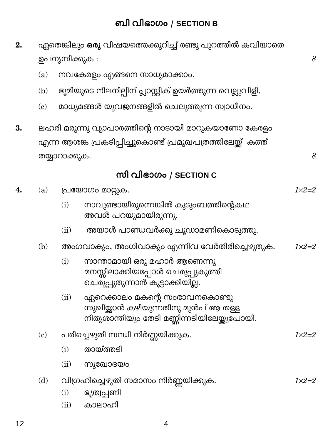| 2. | ഏതെങ്കിലും <b>ഒരു</b> വിഷയത്തെക്കുറിച്ച് രണ്ടു പുറത്തിൽ കവിയാതെ |                                                          |                                                                                                                         |                  |  |
|----|-----------------------------------------------------------------|----------------------------------------------------------|-------------------------------------------------------------------------------------------------------------------------|------------------|--|
|    |                                                                 | ഉപന്യസിക്കുക :                                           |                                                                                                                         |                  |  |
|    | (a)                                                             | നവകേരളം എങ്ങനെ സാധ്യമാക്കാം.                             |                                                                                                                         |                  |  |
|    | (b)                                                             | ഭൂമിയുടെ നിലനില്പിന് പ്ലാസ്റ്റിക് ഉയർത്തുന്ന വെല്ലുവിളി. |                                                                                                                         |                  |  |
|    | (c)                                                             | മാധ്യമങ്ങൾ യുവജനങ്ങളിൽ ചെലുത്തുന്ന സ്വാധീനം.             |                                                                                                                         |                  |  |
| 3. |                                                                 |                                                          | ലഹരി മരുന്നു വ്യാപാരത്തിന്റെ നാടായി മാറുകയാണോ കേരളം                                                                     |                  |  |
|    | എന്ന ആശങ്ക പ്രകടിപ്പിച്ചുകൊണ്ട് പ്രമുഖപത്രത്തിലേയ്ക്ക് കത്ത്    |                                                          |                                                                                                                         |                  |  |
|    | തയ്യാറാക്കുക.                                                   |                                                          |                                                                                                                         |                  |  |
|    |                                                                 |                                                          | സി വിഭാഗം / SECTION C                                                                                                   |                  |  |
| 4. | (a)                                                             | പ്രയോഗം മാറ്റുക.                                         |                                                                                                                         |                  |  |
|    |                                                                 | (i)                                                      | നാവുണ്ടായിരുന്നെങ്കിൽ കുടുംബത്തിന്റെകഥ<br>അവൾ പറയുമായിരുന്നു.                                                           |                  |  |
|    |                                                                 | (ii)                                                     | അയാൾ പാണ്ഡവർക്കു ചൂഡാമണികൊടുത്തു.                                                                                       |                  |  |
|    | (b)                                                             |                                                          | അംഗവാക്യം, അംഗിവാക്യം എന്നിവ വേർതിരിച്ചെഴുതുക.                                                                          | $1 \times 2 = 2$ |  |
|    |                                                                 | (i)                                                      | സാന്താമായി ഒരു മഹാർ ആണെന്നു<br>മനസ്സിലാക്കിയപ്പോൾ ചെരുപ്പുകുത്തി<br>ചെരുപ്പുതുന്നാൻ കൂട്ടാക്കിയില്ല.                    |                  |  |
|    |                                                                 | (ii)                                                     | ഏറെക്കാലം മകന്റെ സംഭാവനകൊണ്ടു<br>സുഖിയ്ക്കാൻ കഴിയുന്നതിനു മുൻപ് ആ തള്ള<br>നിത്യശാന്തിയും തേടി മണ്ണിന്നടിയിലേയ്ക്കുപോയി. |                  |  |
|    | (c)                                                             | പരിച്ചെഴുതി സന്ധി നിർണ്ണയിക്കുക.                         |                                                                                                                         |                  |  |
|    |                                                                 | (i)                                                      | തായ്ത്തടി                                                                                                               |                  |  |
|    |                                                                 | (ii)                                                     | സുഖോദയം                                                                                                                 |                  |  |
|    | (d)                                                             | (i)<br>(ii)                                              | വിഗ്രഹിച്ചെഴുതി സമാസം നിർണ്ണയിക്കുക.<br>ഭൃത്വപ്പണി<br>കാലാഹി                                                            | $1 \times 2 = 2$ |  |
| 12 |                                                                 |                                                          | 4                                                                                                                       |                  |  |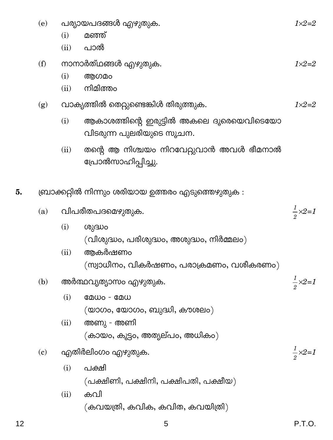- പര്യായപദങ്ങൾ എഴുതുക.  $(e)$ 
	- $(i)$ മഞ്ഞ്
	- $(ii)$ പാൽ
- നാനാർത്ഥങ്ങൾ എഴുതുക.  $(f)$ 
	- $(i)$ ആഗമം
	- നിമിത്തം  $(ii)$
- വാക്യത്തിൽ തെറ്റുണ്ടെങ്കിൾ തിരുത്തുക.  $(g)$ 
	- ആകാശത്തിന്റെ ഇരുട്ടിൽ അകലെ ദുരെയെവിടെയോ  $(i)$ വിടരുന്ന പുലരിയുടെ സൂചന.
	- തന്റെ ആ നിശ്ചയം നിറവേറ്റുവാൻ അവൾ ഭീമനാൽ  $(ii)$ പ്രോൽസാഹിപ്പിച്ചു.
- ബ്രാക്കറ്റിൽ നിന്നും ശരിയായ ഉത്തരം എടുത്തെഴുതുക : 5.
	- വിപരീതപദമൌുതുക.  $(a)$ 
		- $(i)$ ശുദ്ധം  $($ വിശുദ്ധം, പരിശുദ്ധം, അശുദ്ധം, നിർമ്മലം $)$
		- ആകർഷണം  $(ii)$ (സ്വാധീനം, വികർഷണം, പരാക്രമണം, വശീകരണം)
	- $(b)$ അർത്ഥവ്യത്യാസം എഴുതുക.
		- $(i)$  $\Omega$   $\omega$  -  $\Omega$   $\omega$  $(\omega$ ാഗം, യോഗം, ബുദ്ധി, കൗശലം)
		- $(ii)$ അണു - അണി (കായം, കൂട്ടം, അത്യല്പം, അധികം)
	- $(c)$ എതിർലിംഗം എഴുതുക.
		- $(i)$ പക്ഷി  $($ പക്ഷിണി, പക്ഷിനി, പക്ഷിപതി, പക്ഷീയ)
		- കവി  $(ii)$

 $(\omega)$  (കവയത്രി, കവിക, കവിത, കവയിത്രി)

 $1 \times 2 = 2$ 

 $1 \times 2 = 2$ 

 $\frac{1}{2}$   $\times$  2=1

 $\frac{1}{2} \times 2 = 1$ 

 $\frac{1}{2} \times 2 = 1$ 

 $1 \times 2 = 2$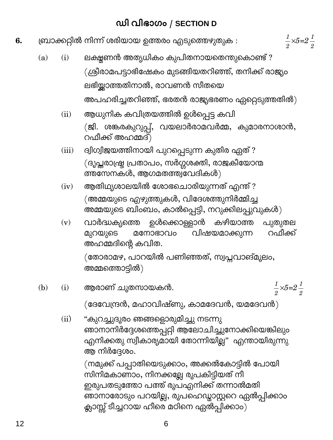### ഡി വിഭാഗം / SECTION D

 $\frac{1}{2} \times 5 = 2\frac{1}{2}$ 

- ബ്രാക്കറ്റിൽ നിന്ന് ശരിയായ ഉത്തരം എടുത്തെഴുതുക : 6.
	- ലക്ഷുണൻ അത്യധികം കുപിതനായതെന്തുകൊണ്ട് ?  $(i)$  $(a)$ (ശ്രീരാമപട്ടാഭിഷേകം മുടങ്ങിയതറിഞ്ഞ്, തനിക്ക് രാജ്യം ലഭിയ്ക്കാത്തതിനാൽ, രാവണൻ സീതയെ അപഹരിച്ചതറിഞ്ഞ്, ഭരതൻ രാജ്യഭരണം ഏറ്റെടുത്തതിൽ $)$ 
		- ആധുനിക കവിത്രയത്തിൽ ഉൾപ്പെട്ട കവി  $(ii)$ (ജി. ശങ്കരകുറുപ്പ്, വയലാർരാമവർമ്മ, കുമാരനാശാൻ, റഫീക്ക് അഹമ്മദ്)
		- ദ്വിഗ്വിജയത്തിനായി പുറപ്പെടുന്ന കുതിര ഏത് ?  $(iii)$ (ദൃപ്തരാഷ്ട്ര പ്രതാപം, സർഗ്ഗശക്തി, രാജകീയോന്മ ത്തസേനകൾ, ആഗമതത്ത്വവേദികൾ)
		- ആതിഥ്യശാലയിൽ ശോഭചൊരിയുന്നത് എന്ത് ?  $(iv)$ (അമ്മയുടെ എഴുത്തുകൾ, വിദേശത്തുനിർമ്മിച്ച .<br>അമ്മയുടെ ബിംബം, കാൽപ്പെട്ടി, നറുക്കിലപ്പുവുകൾ)
		- വാർദ്ധക്യത്തെ ഉൾക്കൊള്ളാൻ കഴിയാത്ത പുതുതല  $(v)$ റഫീക്ക് വിഷയമാക്കുന്ന മുറയുടെ മനോഭാവം അഹമ്മദിന്റെ കവിത.

(തോരാമഴ, പാറയിൽ പണിഞ്ഞത്, സ്വപ്നവാങ്മൂലം, അമ്മത്തൊട്ടിൽ)

- $\frac{1}{2} \times 5 = 2\frac{1}{2}$  $(b)$ ആരാണ് ചൂതസായകൻ.  $(i)$  $($ ദേവേന്ദ്രൻ, മഹാവിഷ്ണു, കാമദേവൻ, യമദേവൻ $)$ 
	- "കുറച്ചുദൂരം ഞങ്ങളൊരുമിച്ചു നടന്നു  $(ii)$ ഞാനാനിർദ്ദേശത്തെപ്പറ്റി ആലോചിച്ചുനോക്കിയെങ്കിലും എനിക്കതു സ്വീകാര്യമായി തോന്നിയില്ല" എന്തായിരുന്നു ആ നിർദ്ദേശം.

6

(നമുക്ക് പപ്പാതിയെടുക്കാം, അക്കൽകോട്ടിൽ പോയി .<br>സിനിമകാണാം, നിനക്കല്ലേ രൂപകിട്ടിയത് നീ ഇരുപതടുത്തോ പത്ത് രൂപഎനിക്ക് തന്നാൽമതി ഞാനാരോടും പറയില്ല, രൂപഹെഡ്മാസ്റ്ററെ ഏൽപ്പിക്കാം .<br>ക്ലാസ്റ്റ് ടീച്ചറായ ഹീരെ മഠിനെ ഏൽപ്പിക്കാം)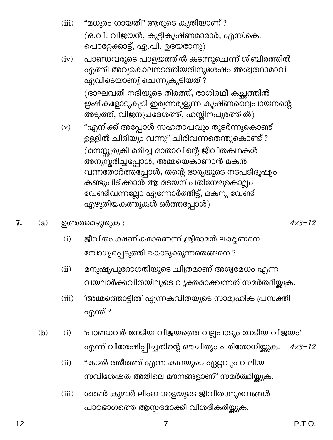- $(iii)$ "മധുരം ഗായതി" ആരുടെ കൃതിയാണ് ? (ഒ.വി. വിജയൻ, കുട്ടികൃഷ്ണമാരാർ, എസ്.കെ. പൊറ്റേക്കാട്ട്, എ.പി. ഉദയഭാനു)
- പാണ്ഡവരുടെ പാളയത്തിൽ കടന്നുചെന്ന് ശിബിരത്തിൽ  $(iv)$ എത്തി അറുകൊലനടത്തിയതിനുശേഷം അശ്വത്ഥാമാവ് എവിടെയാണു് ചെന്നുകൂടിയത് ? (ദാഘവതി നദിയുടെ തീരത്ത്, ഭാഗീരഥീ കച്ഛത്തിൽ ഋഷികളോടുകുടി ഇരുന്നരുളുന്ന കൃഷ്ണല്പൈപായനന്റെ അടുത്ത്, വിജനപ്രദേശത്ത്, ഹസ്തിനപുരത്തിൽ)
- "എനിക്ക് അപ്പോൾ സഹതാപവും തുടർന്നുകൊണ്ട്  $(v)$ ഉള്ളിൽ ചിരിയും വന്നു" ചിരിവന്നതെന്തുകൊണ്ട് ? (മനസ്സുരുകി മരിച്ച മാതാവിന്റെ ജീവിതകഥകൾ അനുസ്തരിച്ചപ്പോൾ, അമ്മയെകാണാൻ മകൻ വന്നതോർത്തപ്പോൾ, തന്റെ ഭാര്യയുടെ നടപടിദൂഷ്യം കണ്ടുപിടിക്കാൻ ആ മടയന് പതിനേഴുകൊല്ലം വേണ്ടിവന്നല്ലോ എന്നോർത്തിട്ട്, മകനു വേണ്ടി എഴുതിയകത്തുകൾ ഒർത്തപ്പോൾ $)$
- 7. ഉത്തരമെഴുതുക :  $(a)$ 
	- ജീവിതം ക്ഷണികമാണെന്ന് ശ്രീരാമൻ ലക്ഷ്യണനെ  $(i)$ മ്പോധ്യപ്പെടുത്തി കൊടുക്കുന്നതെങ്ങനെ ?
	- $(ii)$ മനുഷ്യപുരോഗതിയുടെ ചിത്രമാണ് അശ്വമേധം എന്ന വയലാർക്കവിതയിലൂടെ വ്യക്തമാക്കുന്നത് സമർത്ഥിയ്ക്കുക.
	- $(iii)$ 'അമ്മത്തൊട്ടിൽ' എന്നകവിതയുടെ സാമൂഹിക പ്രസക്തി എന്ത് ?
	- 'പാണ്ഡവർ നേടിയ വിജയത്തെ വല്ലപാടും നേടിയ വിജയം'  $(b)$  $(i)$ എന്ന് വിശേഷിപ്പിച്ചതിന്റെ ഔചിത്യം പരിശോധിയ്ക്കുക.  $4 \times 3 = 12$ 
		- "കടൽ ത്തീരത്ത് എന്ന കഥയുടെ ഏറ്റവും വലിയ  $(ii)$ സവിശേഷത അതിലെ മൗനങ്ങളാണ്" സമർത്ഥിയ്ക്കുക.
		- ശരൺ കുമാർ ലിംബാളെയുടെ ജീവിതാനുഭവങ്ങൾ  $(iii)$ പാഠഭാഗത്തെ ആസ്പദമാക്കി വിശദീകരിയ്ക്കുക.

7

 $4 \times 3 = 12$